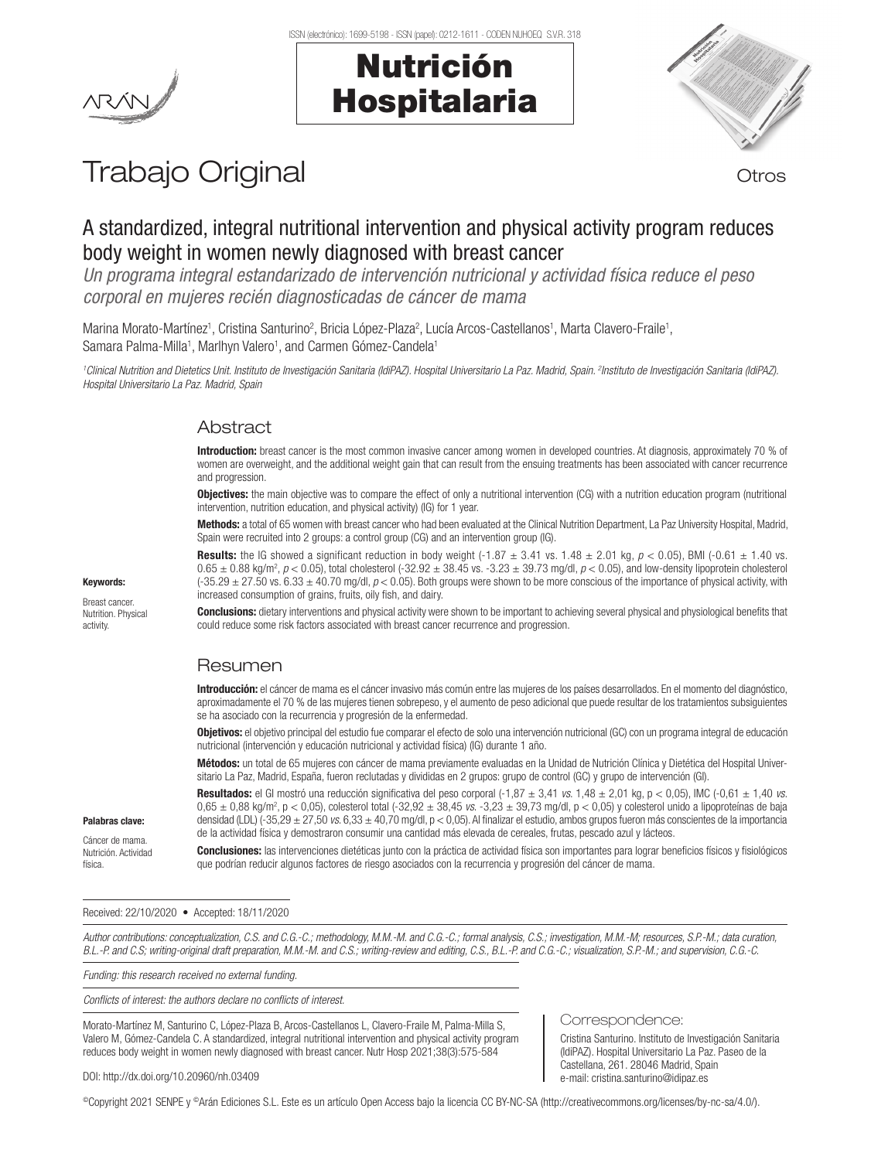# Nutrición Hospitalaria



# Trabajo Original **Trabajo Original**

# A standardized, integral nutritional intervention and physical activity program reduces body weight in women newly diagnosed with breast cancer

*Un programa integral estandarizado de intervención nutricional y actividad física reduce el peso corporal en mujeres recién diagnosticadas de cáncer de mama*

Marina Morato-Martínez<sup>1</sup>, Cristina Santurino<sup>2</sup>, Bricia López-Plaza<sup>2</sup>, Lucía Arcos-Castellanos<sup>1</sup>, Marta Clavero-Fraile<sup>1</sup>, Samara Palma-Milla<sup>1</sup>, Marlhyn Valero<sup>1</sup>, and Carmen Gómez-Candela<sup>1</sup>

<sup>1</sup>Clinical Nutrition and Dietetics Unit. Instituto de Investigación Sanitaria (IdiPAZ). Hospital Universitario La Paz. Madrid, Spain. <sup>2</sup>Instituto de Investigación Sanitaria (IdiPAZ). *Hospital Universitario La Paz. Madrid, Spain* 

## Abstract

Introduction: breast cancer is the most common invasive cancer among women in developed countries. At diagnosis, approximately 70 % of women are overweight, and the additional weight gain that can result from the ensuing treatments has been associated with cancer recurrence and progression.

Objectives: the main objective was to compare the effect of only a nutritional intervention (CG) with a nutrition education program (nutritional intervention, nutrition education, and physical activity) (IG) for 1 year.

Methods: a total of 65 women with breast cancer who had been evaluated at the Clinical Nutrition Department, La Paz University Hospital, Madrid, Spain were recruited into 2 groups: a control group (CG) and an intervention group (IG).

**Results:** the IG showed a significant reduction in body weight  $(-1.87 \pm 3.41 \text{ vs. } 1.48 \pm 2.01 \text{ kg}, p < 0.05)$ , BMI  $(-0.61 \pm 1.40 \text{ vs. } 1.40 \pm 2.01 \text{ kg})$  $0.65 \pm 0.88$  kg/m<sup>2</sup>,  $p < 0.05$ ), total cholesterol (-32.92  $\pm$  38.45 vs. -3.23  $\pm$  39.73 mg/dl,  $p < 0.05$ ), and low-density lipoprotein cholesterol (-35.29 ± 27.50 vs. 6.33 ± 40.70 mg/dl, *p* < 0.05). Both groups were shown to be more conscious of the importance of physical activity, with increased consumption of grains, fruits, oily fish, and dairy.

**Conclusions:** dietary interventions and physical activity were shown to be important to achieving several physical and physiological benefits that could reduce some risk factors associated with breast cancer recurrence and progression.

## Resumen

Introducción: el cáncer de mama es el cáncer invasivo más común entre las mujeres de los países desarrollados. En el momento del diagnóstico, aproximadamente el 70 % de las mujeres tienen sobrepeso, y el aumento de peso adicional que puede resultar de los tratamientos subsiguientes se ha asociado con la recurrencia y progresión de la enfermedad.

Objetivos: el objetivo principal del estudio fue comparar el efecto de solo una intervención nutricional (GC) con un programa integral de educación nutricional (intervención y educación nutricional y actividad física) (IG) durante 1 año.

Métodos: un total de 65 mujeres con cáncer de mama previamente evaluadas en la Unidad de Nutrición Clínica y Dietética del Hospital Universitario La Paz, Madrid, España, fueron reclutadas y divididas en 2 grupos: grupo de control (GC) y grupo de intervención (GI).

Resultados: el GI mostró una reducción significativa del peso corporal  $(-1.87 \pm 3.41 \text{ vs. } 1.48 \pm 2.01 \text{ kg}, p < 0.05)$ , IMC  $(-0.61 \pm 1.40 \text{ vs. } 1.48 \pm 2.01 \text{ kg})$ 0,65 ± 0,88 kg/m2 , p < 0,05), colesterol total (-32,92 ± 38,45 *vs*. -3,23 ± 39,73 mg/dl, p < 0,05) y colesterol unido a lipoproteínas de baja densidad (LDL) (-35,29 ± 27,50 *vs*. 6,33 ± 40,70 mg/dl, p < 0,05). Al finalizar el estudio, ambos grupos fueron más conscientes de la importancia de la actividad física y demostraron consumir una cantidad más elevada de cereales, frutas, pescado azul y lácteos.

Conclusiones: las intervenciones dietéticas junto con la práctica de actividad física son importantes para lograr beneficios físicos y fisiológicos que podrían reducir algunos factores de riesgo asociados con la recurrencia y progresión del cáncer de mama.

#### Received: 22/10/2020 • Accepted: 18/11/2020

*Author contributions: conceptualization, C.S. and C.G.-C.; methodology, M.M.-M. and C.G.-C.; formal analysis, C.S.; investigation, M.M.-M; resources, S.P.-M.; data curation, B.L.-P. and C.S; writing-original draft preparation, M.M.-M. and C.S.; writing-review and editing, C.S., B.L.-P. and C.G.-C.; visualization, S.P.-M.; and supervision, C.G.-C.*

*Funding: this research received no external funding.*

*Conflicts of interest: the authors declare no conflicts of interest.*

Morato-Martínez M, Santurino C, López-Plaza B, Arcos-Castellanos L, Clavero-Fraile M, Palma-Milla S, Valero M, Gómez-Candela C. A standardized, integral nutritional intervention and physical activity program reduces body weight in women newly diagnosed with breast cancer. Nutr Hosp 2021;38(3):575-584

#### Correspondence:

Cristina Santurino. Instituto de Investigación Sanitaria (IdiPAZ). Hospital Universitario La Paz. Paseo de la Castellana, 261. 28046 Madrid, Spain e-mail: cristina.santurino@idipaz.es

DOI: http://dx.doi.org/10.20960/nh.03409

©Copyright 2021 SENPE y ©Arán Ediciones S.L. Este es un artículo Open Access bajo la licencia CC BY-NC-SA (http://creativecommons.org/licenses/by-nc-sa/4.0/).

#### Keywords:

Breast cancer. Nutrition. Physical activity.

Palabras clave: Cáncer de mama. Nutrición. Actividad física.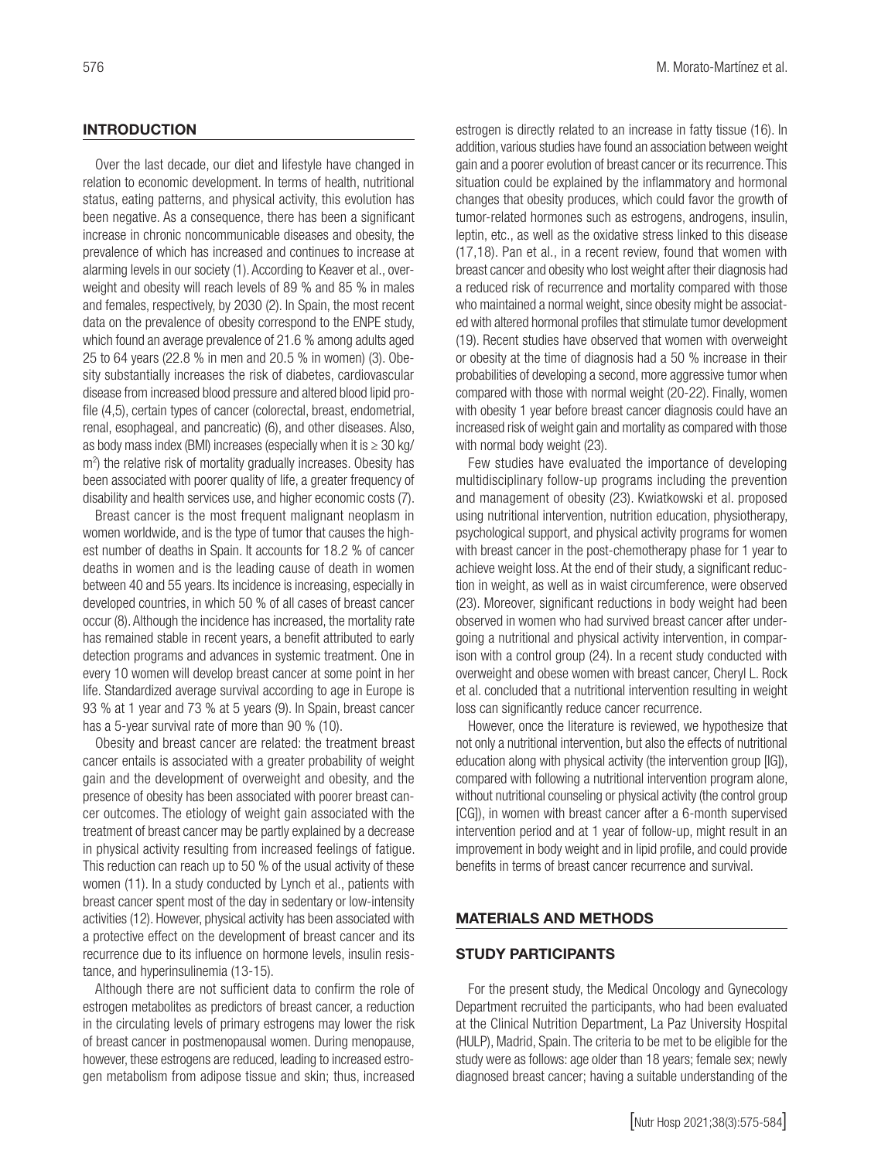#### **INTRODUCTION**

Over the last decade, our diet and lifestyle have changed in relation to economic development. In terms of health, nutritional status, eating patterns, and physical activity, this evolution has been negative. As a consequence, there has been a significant increase in chronic noncommunicable diseases and obesity, the prevalence of which has increased and continues to increase at alarming levels in our society (1). According to Keaver et al., overweight and obesity will reach levels of 89 % and 85 % in males and females, respectively, by 2030 (2). In Spain, the most recent data on the prevalence of obesity correspond to the ENPE study, which found an average prevalence of 21.6 % among adults aged 25 to 64 years (22.8 % in men and 20.5 % in women) (3). Obesity substantially increases the risk of diabetes, cardiovascular disease from increased blood pressure and altered blood lipid profile (4,5), certain types of cancer (colorectal, breast, endometrial, renal, esophageal, and pancreatic) (6), and other diseases. Also, as body mass index (BMI) increases (especially when it is  $\geq 30$  kg/ m<sup>2</sup>) the relative risk of mortality gradually increases. Obesity has been associated with poorer quality of life, a greater frequency of disability and health services use, and higher economic costs (7).

Breast cancer is the most frequent malignant neoplasm in women worldwide, and is the type of tumor that causes the highest number of deaths in Spain. It accounts for 18.2 % of cancer deaths in women and is the leading cause of death in women between 40 and 55 years. Its incidence is increasing, especially in developed countries, in which 50 % of all cases of breast cancer occur (8). Although the incidence has increased, the mortality rate has remained stable in recent years, a benefit attributed to early detection programs and advances in systemic treatment. One in every 10 women will develop breast cancer at some point in her life. Standardized average survival according to age in Europe is 93 % at 1 year and 73 % at 5 years (9). In Spain, breast cancer has a 5-year survival rate of more than 90 % (10).

Obesity and breast cancer are related: the treatment breast cancer entails is associated with a greater probability of weight gain and the development of overweight and obesity, and the presence of obesity has been associated with poorer breast cancer outcomes. The etiology of weight gain associated with the treatment of breast cancer may be partly explained by a decrease in physical activity resulting from increased feelings of fatigue. This reduction can reach up to 50 % of the usual activity of these women (11). In a study conducted by Lynch et al., patients with breast cancer spent most of the day in sedentary or low-intensity activities (12). However, physical activity has been associated with a protective effect on the development of breast cancer and its recurrence due to its influence on hormone levels, insulin resistance, and hyperinsulinemia (13-15).

Although there are not sufficient data to confirm the role of estrogen metabolites as predictors of breast cancer, a reduction in the circulating levels of primary estrogens may lower the risk of breast cancer in postmenopausal women. During menopause, however, these estrogens are reduced, leading to increased estrogen metabolism from adipose tissue and skin; thus, increased estrogen is directly related to an increase in fatty tissue (16). In addition, various studies have found an association between weight gain and a poorer evolution of breast cancer or its recurrence. This situation could be explained by the inflammatory and hormonal changes that obesity produces, which could favor the growth of tumor-related hormones such as estrogens, androgens, insulin, leptin, etc., as well as the oxidative stress linked to this disease (17,18). Pan et al., in a recent review, found that women with breast cancer and obesity who lost weight after their diagnosis had a reduced risk of recurrence and mortality compared with those who maintained a normal weight, since obesity might be associated with altered hormonal profiles that stimulate tumor development (19). Recent studies have observed that women with overweight or obesity at the time of diagnosis had a 50 % increase in their probabilities of developing a second, more aggressive tumor when compared with those with normal weight (20-22). Finally, women with obesity 1 year before breast cancer diagnosis could have an increased risk of weight gain and mortality as compared with those with normal body weight (23).

Few studies have evaluated the importance of developing multidisciplinary follow-up programs including the prevention and management of obesity (23). Kwiatkowski et al. proposed using nutritional intervention, nutrition education, physiotherapy, psychological support, and physical activity programs for women with breast cancer in the post-chemotherapy phase for 1 year to achieve weight loss. At the end of their study, a significant reduction in weight, as well as in waist circumference, were observed (23). Moreover, significant reductions in body weight had been observed in women who had survived breast cancer after undergoing a nutritional and physical activity intervention, in comparison with a control group (24). In a recent study conducted with overweight and obese women with breast cancer, Cheryl L. Rock et al. concluded that a nutritional intervention resulting in weight loss can significantly reduce cancer recurrence.

However, once the literature is reviewed, we hypothesize that not only a nutritional intervention, but also the effects of nutritional education along with physical activity (the intervention group [IG]), compared with following a nutritional intervention program alone, without nutritional counseling or physical activity (the control group [CG]), in women with breast cancer after a 6-month supervised intervention period and at 1 year of follow-up, might result in an improvement in body weight and in lipid profile, and could provide benefits in terms of breast cancer recurrence and survival.

#### MATERIALS AND METHODS

#### STUDY PARTICIPANTS

For the present study, the Medical Oncology and Gynecology Department recruited the participants, who had been evaluated at the Clinical Nutrition Department, La Paz University Hospital (HULP), Madrid, Spain. The criteria to be met to be eligible for the study were as follows: age older than 18 years; female sex; newly diagnosed breast cancer; having a suitable understanding of the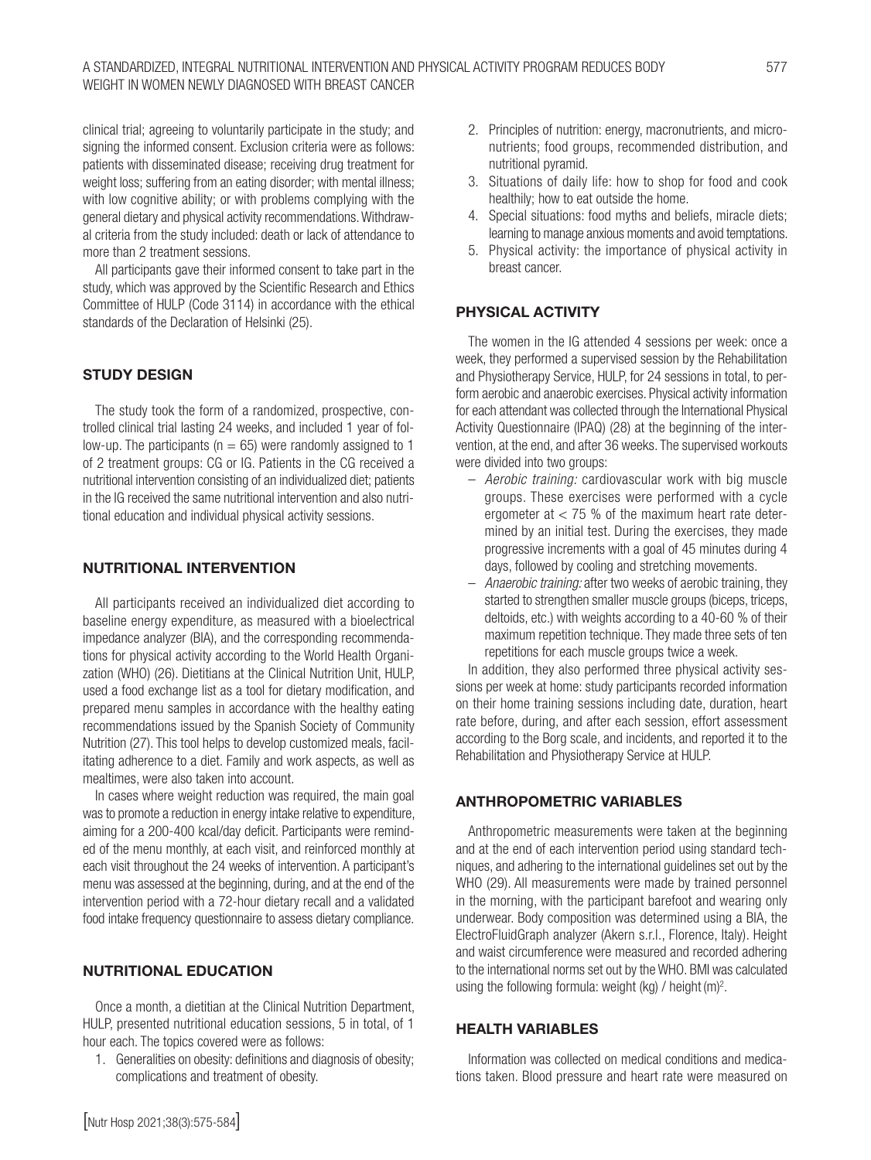clinical trial; agreeing to voluntarily participate in the study; and signing the informed consent. Exclusion criteria were as follows: patients with disseminated disease; receiving drug treatment for weight loss; suffering from an eating disorder; with mental illness; with low cognitive ability; or with problems complying with the general dietary and physical activity recommendations. Withdrawal criteria from the study included: death or lack of attendance to more than 2 treatment sessions.

All participants gave their informed consent to take part in the study, which was approved by the Scientific Research and Ethics Committee of HULP (Code 3114) in accordance with the ethical standards of the Declaration of Helsinki (25).

## STUDY DESIGN

The study took the form of a randomized, prospective, controlled clinical trial lasting 24 weeks, and included 1 year of follow-up. The participants ( $n = 65$ ) were randomly assigned to 1 of 2 treatment groups: CG or IG. Patients in the CG received a nutritional intervention consisting of an individualized diet; patients in the IG received the same nutritional intervention and also nutritional education and individual physical activity sessions.

### NUTRITIONAL INTERVENTION

All participants received an individualized diet according to baseline energy expenditure, as measured with a bioelectrical impedance analyzer (BIA), and the corresponding recommendations for physical activity according to the World Health Organization (WHO) (26). Dietitians at the Clinical Nutrition Unit, HULP, used a food exchange list as a tool for dietary modification, and prepared menu samples in accordance with the healthy eating recommendations issued by the Spanish Society of Community Nutrition (27). This tool helps to develop customized meals, facilitating adherence to a diet. Family and work aspects, as well as mealtimes, were also taken into account.

In cases where weight reduction was required, the main goal was to promote a reduction in energy intake relative to expenditure, aiming for a 200-400 kcal/day deficit. Participants were reminded of the menu monthly, at each visit, and reinforced monthly at each visit throughout the 24 weeks of intervention. A participant's menu was assessed at the beginning, during, and at the end of the intervention period with a 72-hour dietary recall and a validated food intake frequency questionnaire to assess dietary compliance.

## NUTRITIONAL EDUCATION

Once a month, a dietitian at the Clinical Nutrition Department, HULP, presented nutritional education sessions, 5 in total, of 1 hour each. The topics covered were as follows:

1. Generalities on obesity: definitions and diagnosis of obesity; complications and treatment of obesity.

- 2. Principles of nutrition: energy, macronutrients, and micronutrients; food groups, recommended distribution, and nutritional pyramid.
- 3. Situations of daily life: how to shop for food and cook healthily; how to eat outside the home.
- 4. Special situations: food myths and beliefs, miracle diets; learning to manage anxious moments and avoid temptations.
- 5. Physical activity: the importance of physical activity in breast cancer.

## PHYSICAL ACTIVITY

The women in the IG attended 4 sessions per week: once a week, they performed a supervised session by the Rehabilitation and Physiotherapy Service, HULP, for 24 sessions in total, to perform aerobic and anaerobic exercises. Physical activity information for each attendant was collected through the International Physical Activity Questionnaire (IPAQ) (28) at the beginning of the intervention, at the end, and after 36 weeks. The supervised workouts were divided into two groups:

- *Aerobic training:* cardiovascular work with big muscle groups. These exercises were performed with a cycle ergometer at  $<$  75 % of the maximum heart rate determined by an initial test. During the exercises, they made progressive increments with a goal of 45 minutes during 4 days, followed by cooling and stretching movements.
- *Anaerobic training:* after two weeks of aerobic training, they started to strengthen smaller muscle groups (biceps, triceps, deltoids, etc.) with weights according to a 40-60 % of their maximum repetition technique. They made three sets of ten repetitions for each muscle groups twice a week.

In addition, they also performed three physical activity sessions per week at home: study participants recorded information on their home training sessions including date, duration, heart rate before, during, and after each session, effort assessment according to the Borg scale, and incidents, and reported it to the Rehabilitation and Physiotherapy Service at HULP.

## ANTHROPOMETRIC VARIABLES

Anthropometric measurements were taken at the beginning and at the end of each intervention period using standard techniques, and adhering to the international guidelines set out by the WHO (29). All measurements were made by trained personnel in the morning, with the participant barefoot and wearing only underwear. Body composition was determined using a BIA, the ElectroFluidGraph analyzer (Akern s.r.l., Florence, Italy). Height and waist circumference were measured and recorded adhering to the international norms set out by the WHO. BMI was calculated using the following formula: weight (kg) / height  $(m)^2$ .

## HEALTH VARIABLES

Information was collected on medical conditions and medications taken. Blood pressure and heart rate were measured on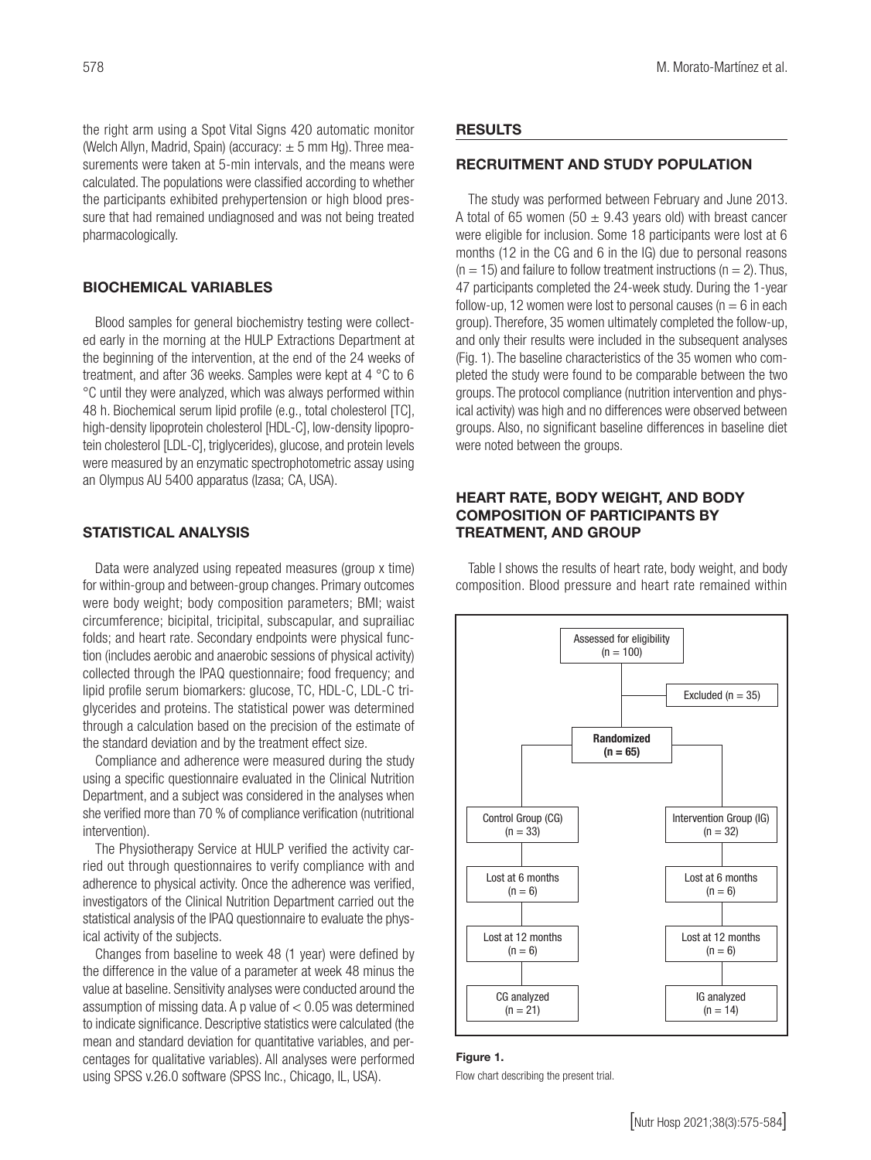the right arm using a Spot Vital Signs 420 automatic monitor (Welch Allyn, Madrid, Spain) (accuracy:  $\pm$  5 mm Hg). Three measurements were taken at 5-min intervals, and the means were calculated. The populations were classified according to whether the participants exhibited prehypertension or high blood pressure that had remained undiagnosed and was not being treated pharmacologically.

## BIOCHEMICAL VARIABLES

Blood samples for general biochemistry testing were collected early in the morning at the HULP Extractions Department at the beginning of the intervention, at the end of the 24 weeks of treatment, and after 36 weeks. Samples were kept at 4 °C to 6 °C until they were analyzed, which was always performed within 48 h. Biochemical serum lipid profile (e.g., total cholesterol [TC], high-density lipoprotein cholesterol [HDL-C], low-density lipoprotein cholesterol [LDL-C], triglycerides), glucose, and protein levels were measured by an enzymatic spectrophotometric assay using an Olympus AU 5400 apparatus (Izasa; CA, USA).

#### STATISTICAL ANALYSIS

Data were analyzed using repeated measures (group x time) for within-group and between-group changes. Primary outcomes were body weight; body composition parameters; BMI; waist circumference; bicipital, tricipital, subscapular, and suprailiac folds; and heart rate. Secondary endpoints were physical function (includes aerobic and anaerobic sessions of physical activity) collected through the IPAQ questionnaire; food frequency; and lipid profile serum biomarkers: glucose, TC, HDL-C, LDL-C triglycerides and proteins. The statistical power was determined through a calculation based on the precision of the estimate of the standard deviation and by the treatment effect size.

Compliance and adherence were measured during the study using a specific questionnaire evaluated in the Clinical Nutrition Department, and a subject was considered in the analyses when she verified more than 70 % of compliance verification (nutritional intervention).

The Physiotherapy Service at HULP verified the activity carried out through questionnaires to verify compliance with and adherence to physical activity. Once the adherence was verified, investigators of the Clinical Nutrition Department carried out the statistical analysis of the IPAQ questionnaire to evaluate the physical activity of the subjects.

Changes from baseline to week 48 (1 year) were defined by the difference in the value of a parameter at week 48 minus the value at baseline. Sensitivity analyses were conducted around the assumption of missing data. A p value of < 0.05 was determined to indicate significance. Descriptive statistics were calculated (the mean and standard deviation for quantitative variables, and percentages for qualitative variables). All analyses were performed using SPSS v.26.0 software (SPSS Inc., Chicago, IL, USA).

#### **RESULTS**

## RECRUITMENT AND STUDY POPULATION

The study was performed between February and June 2013. A total of 65 women (50  $\pm$  9.43 years old) with breast cancer were eligible for inclusion. Some 18 participants were lost at 6 months (12 in the CG and 6 in the IG) due to personal reasons  $(n = 15)$  and failure to follow treatment instructions  $(n = 2)$ . Thus, 47 participants completed the 24-week study. During the 1-year follow-up, 12 women were lost to personal causes ( $n = 6$  in each group). Therefore, 35 women ultimately completed the follow-up, and only their results were included in the subsequent analyses (Fig. 1). The baseline characteristics of the 35 women who completed the study were found to be comparable between the two groups. The protocol compliance (nutrition intervention and physical activity) was high and no differences were observed between groups. Also, no significant baseline differences in baseline diet were noted between the groups.

#### HEART RATE, BODY WEIGHT, AND BODY COMPOSITION OF PARTICIPANTS BY TREATMENT, AND GROUP

Table I shows the results of heart rate, body weight, and body composition. Blood pressure and heart rate remained within



## Figure 1.

Flow chart describing the present trial.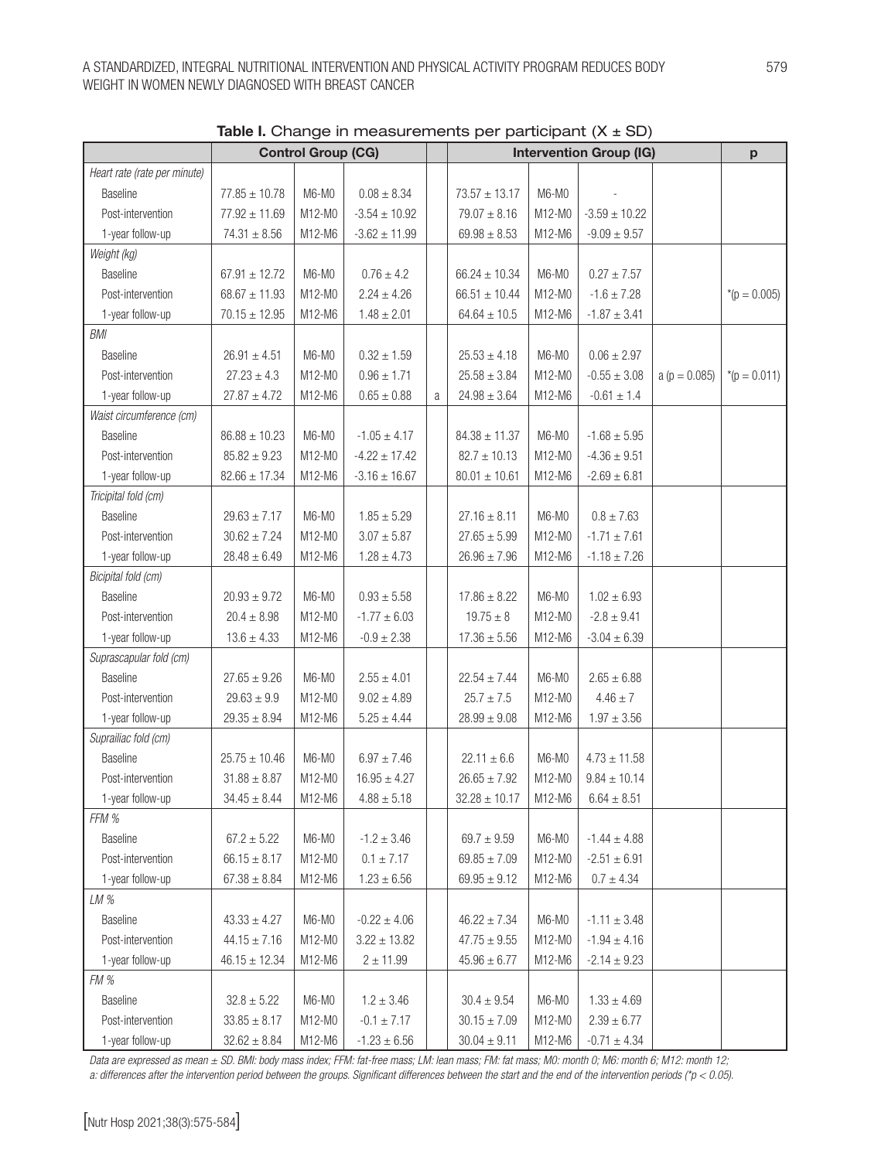|                              | <b>Control Group (CG)</b> |          |                   |   | <b>Intervention Group (IG)</b> | p       |                   |                 |                 |
|------------------------------|---------------------------|----------|-------------------|---|--------------------------------|---------|-------------------|-----------------|-----------------|
| Heart rate (rate per minute) |                           |          |                   |   |                                |         |                   |                 |                 |
| Baseline                     | $77.85 \pm 10.78$         | M6-M0    | $0.08 \pm 8.34$   |   | $73.57 \pm 13.17$              | M6-M0   |                   |                 |                 |
| Post-intervention            | $77.92 \pm 11.69$         | M12-M0   | $-3.54 \pm 10.92$ |   | $79.07 \pm 8.16$               | M12-M0  | $-3.59 \pm 10.22$ |                 |                 |
| 1-year follow-up             | $74.31 \pm 8.56$          | M12-M6   | $-3.62 \pm 11.99$ |   | $69.98 \pm 8.53$               | M12-M6  | $-9.09 \pm 9.57$  |                 |                 |
| Weight (kg)                  |                           |          |                   |   |                                |         |                   |                 |                 |
| Baseline                     | $67.91 \pm 12.72$         | M6-M0    | $0.76\pm4.2$      |   | $66.24 \pm 10.34$              | $M6-M0$ | $0.27\pm7.57$     |                 |                 |
| Post-intervention            | $68.67 \pm 11.93$         | M12-M0   | $2.24 \pm 4.26$   |   | $66.51 \pm 10.44$              | M12-M0  | $-1.6 \pm 7.28$   |                 | * $(p = 0.005)$ |
| 1-year follow-up             | $70.15 \pm 12.95$         | M12-M6   | $1.48 \pm 2.01$   |   | $64.64 \pm 10.5$               | M12-M6  | $-1.87 \pm 3.41$  |                 |                 |
| <b>BMI</b>                   |                           |          |                   |   |                                |         |                   |                 |                 |
| <b>Baseline</b>              | $26.91 \pm 4.51$          | M6-M0    | $0.32 \pm 1.59$   |   | $25.53 \pm 4.18$               | M6-M0   | $0.06 \pm 2.97$   |                 |                 |
| Post-intervention            | $27.23 \pm 4.3$           | M12-M0   | $0.96 \pm 1.71$   |   | $25.58 \pm 3.84$               | M12-M0  | $-0.55 \pm 3.08$  | $a (p = 0.085)$ | * $(p = 0.011)$ |
| 1-year follow-up             | $27.87 \pm 4.72$          | M12-M6   | $0.65\pm0.88$     | a | $24.98 \pm 3.64$               | M12-M6  | $-0.61 \pm 1.4$   |                 |                 |
| Waist circumference (cm)     |                           |          |                   |   |                                |         |                   |                 |                 |
| Baseline                     | $86.88 \pm 10.23$         | M6-M0    | $-1.05 \pm 4.17$  |   | $84.38 \pm 11.37$              | M6-M0   | $-1.68 \pm 5.95$  |                 |                 |
| Post-intervention            | $85.82 \pm 9.23$          | M12-M0   | $-4.22 \pm 17.42$ |   | $82.7 \pm 10.13$               | M12-M0  | $-4.36 \pm 9.51$  |                 |                 |
| 1-year follow-up             | $82.66 \pm 17.34$         | M12-M6   | $-3.16 \pm 16.67$ |   | $80.01 \pm 10.61$              | M12-M6  | $-2.69 \pm 6.81$  |                 |                 |
| Tricipital fold (cm)         |                           |          |                   |   |                                |         |                   |                 |                 |
| <b>Baseline</b>              | $29.63 \pm 7.17$          | M6-M0    | $1.85\pm5.29$     |   | $27.16 \pm 8.11$               | M6-M0   | $0.8 \pm 7.63$    |                 |                 |
| Post-intervention            | $30.62 \pm 7.24$          | M12-M0   | $3.07 \pm 5.87$   |   | $27.65 \pm 5.99$               | M12-M0  | $-1.71 \pm 7.61$  |                 |                 |
| 1-year follow-up             | $28.48 \pm 6.49$          | M12-M6   | $1.28 \pm 4.73$   |   | $26.96 \pm 7.96$               | M12-M6  | $-1.18 \pm 7.26$  |                 |                 |
| Bicipital fold (cm)          |                           |          |                   |   |                                |         |                   |                 |                 |
| Baseline                     | $20.93 \pm 9.72$          | M6-M0    | $0.93\pm5.58$     |   | $17.86 \pm 8.22$               | M6-M0   | $1.02 \pm 6.93$   |                 |                 |
| Post-intervention            | $20.4 \pm 8.98$           | M12-M0   | $-1.77 \pm 6.03$  |   | $19.75 \pm 8$                  | M12-M0  | $-2.8 \pm 9.41$   |                 |                 |
| 1-year follow-up             | $13.6 \pm 4.33$           | M12-M6   | $-0.9 \pm 2.38$   |   | $17.36 \pm 5.56$               | M12-M6  | $-3.04 \pm 6.39$  |                 |                 |
| Suprascapular fold (cm)      |                           |          |                   |   |                                |         |                   |                 |                 |
| Baseline                     | $27.65 \pm 9.26$          | M6-M0    | $2.55 \pm 4.01$   |   | $22.54 \pm 7.44$               | M6-M0   | $2.65 \pm 6.88$   |                 |                 |
| Post-intervention            | $29.63 \pm 9.9$           | M12-M0   | $9.02 \pm 4.89$   |   | $25.7 \pm 7.5$                 | M12-M0  | $4.46 \pm 7$      |                 |                 |
| 1-year follow-up             | $29.35 \pm 8.94$          | M12-M6   | $5.25 \pm 4.44$   |   | $28.99 \pm 9.08$               | M12-M6  | $1.97 \pm 3.56$   |                 |                 |
| Suprailiac fold (cm)         |                           |          |                   |   |                                |         |                   |                 |                 |
| Baseline                     | $25.75 \pm 10.46$         | M6-M0    | $6.97 \pm 7.46$   |   | $22.11 \pm 6.6$                | M6-M0   | $4.73 \pm 11.58$  |                 |                 |
| Post-intervention            | $31.88 \pm 8.87$          | M12-M0   | $16.95 \pm 4.27$  |   | $26.65 \pm 7.92$               | M12-M0  | $9.84 \pm 10.14$  |                 |                 |
| 1-year follow-up             | $34.45 \pm 8.44$          | M12-M6   | $4.88 \pm 5.18$   |   | $32.28 \pm 10.17$              | M12-M6  | $6.64 \pm 8.51$   |                 |                 |
| FFM %                        |                           |          |                   |   |                                |         |                   |                 |                 |
| Baseline                     | $67.2 \pm 5.22$           | M6-M0    | $-1.2 \pm 3.46$   |   | $69.7 \pm 9.59$                | M6-M0   | $-1.44 \pm 4.88$  |                 |                 |
| Post-intervention            | $66.15 \pm 8.17$          | M12-M0   | $0.1 \pm 7.17$    |   | $69.85 \pm 7.09$               | M12-M0  | $-2.51 \pm 6.91$  |                 |                 |
| 1-year follow-up             | $67.38 \pm 8.84$          | M12-M6   | $1.23 \pm 6.56$   |   | $69.95 \pm 9.12$               | M12-M6  | $0.7 \pm 4.34$    |                 |                 |
| LM%                          |                           |          |                   |   |                                |         |                   |                 |                 |
| Baseline                     | $43.33 \pm 4.27$          | M6-M0    | $-0.22 \pm 4.06$  |   | $46.22 \pm 7.34$               | M6-M0   | $-1.11 \pm 3.48$  |                 |                 |
| Post-intervention            | $44.15 \pm 7.16$          | M12-M0   | $3.22 \pm 13.82$  |   | $47.75 \pm 9.55$               | M12-M0  | $-1.94 \pm 4.16$  |                 |                 |
| 1-year follow-up             | $46.15 \pm 12.34$         | M12-M6   | $2 \pm 11.99$     |   | $45.96 \pm 6.77$               | M12-M6  | $-2.14 \pm 9.23$  |                 |                 |
| FM %                         |                           |          |                   |   |                                |         |                   |                 |                 |
| Baseline                     | $32.8 \pm 5.22$           | M6-M0    | $1.2 \pm 3.46$    |   | $30.4 \pm 9.54$                | M6-M0   | $1.33 \pm 4.69$   |                 |                 |
| Post-intervention            | $33.85 \pm 8.17$          | M12-M0   | $-0.1 \pm 7.17$   |   | $30.15 \pm 7.09$               | M12-M0  | $2.39 \pm 6.77$   |                 |                 |
| 1-year follow-up             | $32.62 \pm 8.84$          | $M12-M6$ | $-1.23 \pm 6.56$  |   | $30.04 \pm 9.11$               | M12-M6  | $-0.71 \pm 4.34$  |                 |                 |

Table I. Change in measurements per participant  $(X \pm SD)$ 

*Data are expressed as mean ± SD. BMI: body mass index; FFM: fat-free mass; LM: lean mass; FM: fat mass; M0: month 0; M6: month 6; M12: month 12; a: differences after the intervention period between the groups. Significant differences between the start and the end of the intervention periods (\*p < 0.05).*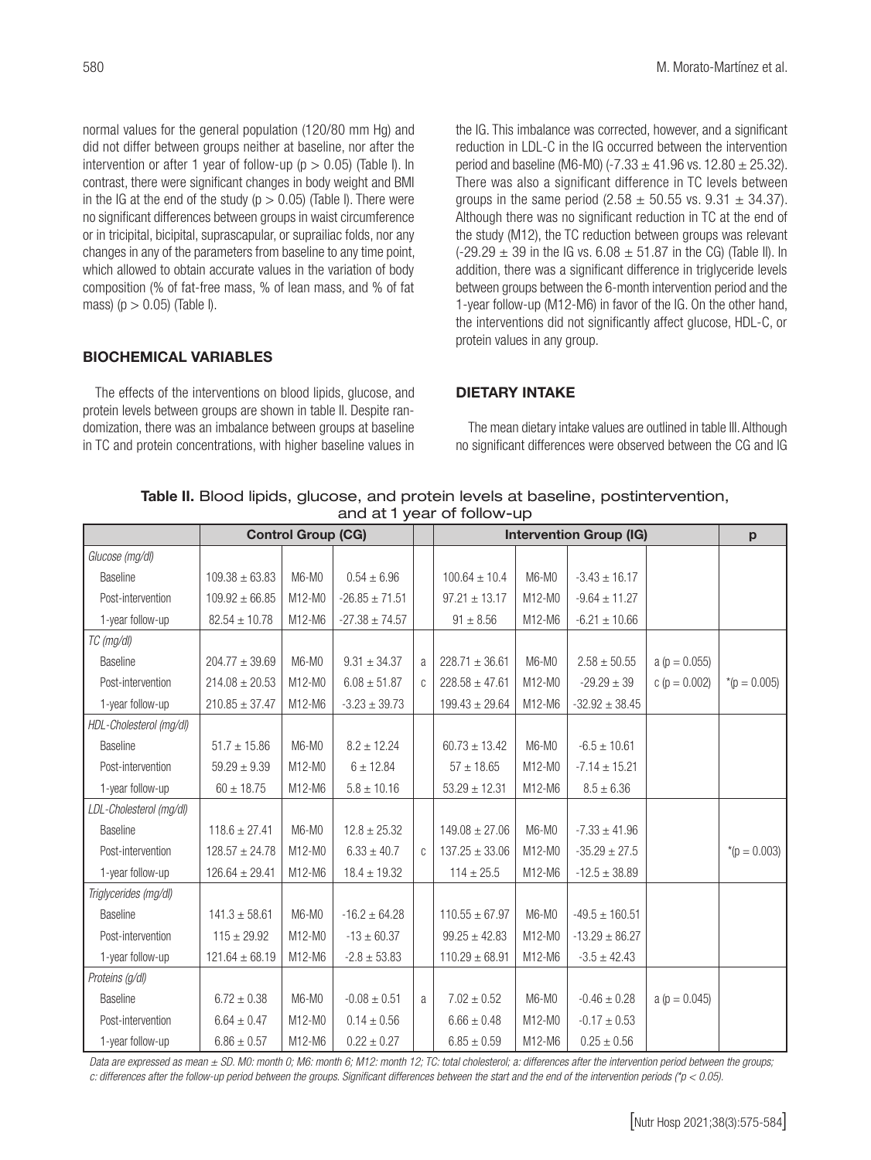normal values for the general population (120/80 mm Hg) and did not differ between groups neither at baseline, nor after the intervention or after 1 year of follow-up ( $p > 0.05$ ) (Table I). In contrast, there were significant changes in body weight and BMI in the IG at the end of the study ( $p > 0.05$ ) (Table I). There were no significant differences between groups in waist circumference or in tricipital, bicipital, suprascapular, or suprailiac folds, nor any changes in any of the parameters from baseline to any time point, which allowed to obtain accurate values in the variation of body composition (% of fat-free mass, % of lean mass, and % of fat mass) ( $p > 0.05$ ) (Table I).

## BIOCHEMICAL VARIABLES

The effects of the interventions on blood lipids, glucose, and protein levels between groups are shown in table II. Despite randomization, there was an imbalance between groups at baseline in TC and protein concentrations, with higher baseline values in the IG. This imbalance was corrected, however, and a significant reduction in LDL-C in the IG occurred between the intervention period and baseline (M6-M0) (-7.33  $\pm$  41.96 vs. 12.80  $\pm$  25.32). There was also a significant difference in TC levels between groups in the same period  $(2.58 \pm 50.55 \text{ vs. } 9.31 \pm 34.37)$ . Although there was no significant reduction in TC at the end of the study (M12), the TC reduction between groups was relevant  $(-29.29 \pm 39)$  in the IG vs.  $6.08 \pm 51.87$  in the CG) (Table II). In addition, there was a significant difference in triglyceride levels between groups between the 6-month intervention period and the 1-year follow-up (M12-M6) in favor of the IG. On the other hand, the interventions did not significantly affect glucose, HDL-C, or protein values in any group.

### DIETARY INTAKE

The mean dietary intake values are outlined in table III. Although no significant differences were observed between the CG and IG

| Table II. Blood lipids, glucose, and protein levels at baseline, postintervention, |  |
|------------------------------------------------------------------------------------|--|
| and at 1 year of follow-up                                                         |  |

|                         |                    | <b>Control Group (CG)</b> |                    |               | <b>Intervention Group (IG)</b> | p        |                    |                   |                  |
|-------------------------|--------------------|---------------------------|--------------------|---------------|--------------------------------|----------|--------------------|-------------------|------------------|
| Glucose (mg/dl)         |                    |                           |                    |               |                                |          |                    |                   |                  |
| Baseline                | $109.38 \pm 63.83$ | M6-M0                     | $0.54 \pm 6.96$    |               | $100.64 \pm 10.4$              | M6-M0    | $-3.43 \pm 16.17$  |                   |                  |
| Post-intervention       | $109.92 \pm 66.85$ | M12-M0                    | $-26.85 \pm 71.51$ |               | $97.21 \pm 13.17$              | $M12-M0$ | $-9.64 \pm 11.27$  |                   |                  |
| 1-year follow-up        | $82.54 \pm 10.78$  | M12-M6                    | $-27.38 \pm 74.57$ |               | $91 \pm 8.56$                  | M12-M6   | $-6.21 \pm 10.66$  |                   |                  |
| TC (mg/dl)              |                    |                           |                    |               |                                |          |                    |                   |                  |
| Baseline                | $204.77 \pm 39.69$ | M6-M0                     | $9.31 \pm 34.37$   | a             | $228.71 \pm 36.61$             | M6-M0    | $2.58 \pm 50.55$   | a ( $p = 0.055$ ) |                  |
| Post-intervention       | $214.08 \pm 20.53$ | M12-M0                    | $6.08 \pm 51.87$   | $\mathsf{C}$  | $228.58 \pm 47.61$             | M12-M0   | $-29.29 \pm 39$    | c ( $p = 0.002$ ) | *( $p = 0.005$ ) |
| 1-year follow-up        | $210.85 \pm 37.47$ | M12-M6                    | $-3.23 \pm 39.73$  |               | $199.43 \pm 29.64$             | M12-M6   | $-32.92 \pm 38.45$ |                   |                  |
| HDL-Cholesterol (mg/dl) |                    |                           |                    |               |                                |          |                    |                   |                  |
| Baseline                | $51.7 \pm 15.86$   | M6-M0                     | $8.2 \pm 12.24$    |               | $60.73 \pm 13.42$              | M6-M0    | $-6.5 \pm 10.61$   |                   |                  |
| Post-intervention       | $59.29 \pm 9.39$   | M12-M0                    | $6 \pm 12.84$      |               | $57 \pm 18.65$                 | M12-M0   | $-7.14 \pm 15.21$  |                   |                  |
| 1-year follow-up        | $60 \pm 18.75$     | M12-M6                    | $5.8 \pm 10.16$    |               | $53.29 \pm 12.31$              | M12-M6   | $8.5 \pm 6.36$     |                   |                  |
| LDL-Cholesterol (mg/dl) |                    |                           |                    |               |                                |          |                    |                   |                  |
| <b>Baseline</b>         | $118.6 \pm 27.41$  | M6-M0                     | $12.8 \pm 25.32$   |               | $149.08 \pm 27.06$             | M6-M0    | $-7.33 \pm 41.96$  |                   |                  |
| Post-intervention       | $128.57 \pm 24.78$ | M12-M0                    | $6.33 \pm 40.7$    | $\mathcal{C}$ | $137.25 \pm 33.06$             | M12-M0   | $-35.29 \pm 27.5$  |                   | *( $p = 0.003$ ) |
| 1-year follow-up        | $126.64 \pm 29.41$ | M12-M6                    | $18.4 \pm 19.32$   |               | $114 \pm 25.5$                 | M12-M6   | $-12.5 \pm 38.89$  |                   |                  |
| Triglycerides (mg/dl)   |                    |                           |                    |               |                                |          |                    |                   |                  |
| Baseline                | $141.3 \pm 58.61$  | M6-M0                     | $-16.2 \pm 64.28$  |               | $110.55 \pm 67.97$             | M6-M0    | $-49.5 \pm 160.51$ |                   |                  |
| Post-intervention       | $115 \pm 29.92$    | M12-M0                    | $-13 \pm 60.37$    |               | $99.25 \pm 42.83$              | M12-M0   | $-13.29 \pm 86.27$ |                   |                  |
| 1-year follow-up        | $121.64 \pm 68.19$ | M12-M6                    | $-2.8 \pm 53.83$   |               | $110.29 \pm 68.91$             | M12-M6   | $-3.5 \pm 42.43$   |                   |                  |
| Proteins (g/dl)         |                    |                           |                    |               |                                |          |                    |                   |                  |
| Baseline                | $6.72 \pm 0.38$    | M6-M0                     | $-0.08 \pm 0.51$   | a             | $7.02 \pm 0.52$                | M6-M0    | $-0.46 \pm 0.28$   | a ( $p = 0.045$ ) |                  |
| Post-intervention       | $6.64 \pm 0.47$    | M12-M0                    | $0.14 \pm 0.56$    |               | $6.66 \pm 0.48$                | M12-M0   | $-0.17\pm0.53$     |                   |                  |
| 1-year follow-up        | $6.86 \pm 0.57$    | M12-M6                    | $0.22 \pm 0.27$    |               | $6.85 \pm 0.59$                | M12-M6   | $0.25 \pm 0.56$    |                   |                  |

*Data are expressed as mean ± SD. M0: month 0; M6: month 6; M12: month 12; TC: total cholesterol; a: differences after the intervention period between the groups; c: differences after the follow-up period between the groups. Significant differences between the start and the end of the intervention periods (\*p < 0.05).*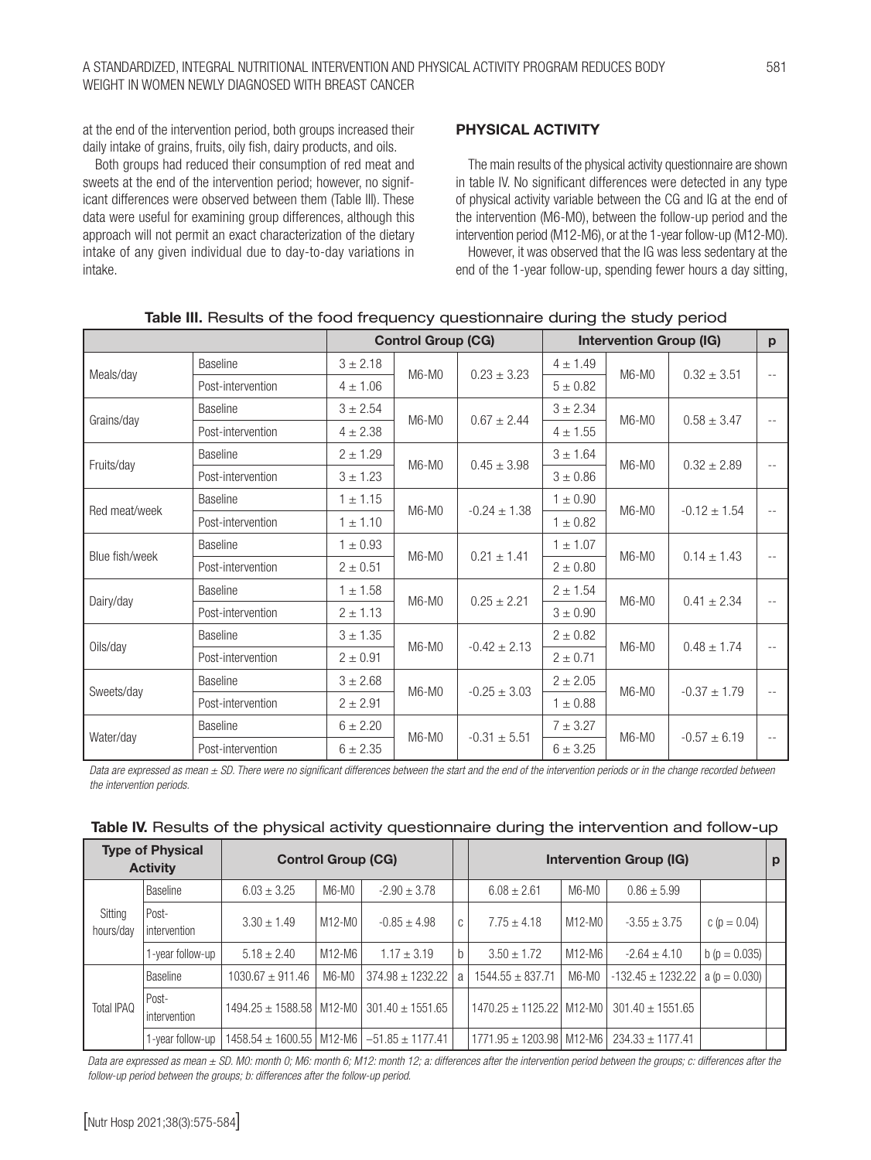at the end of the intervention period, both groups increased their daily intake of grains, fruits, oily fish, dairy products, and oils.

Both groups had reduced their consumption of red meat and sweets at the end of the intervention period; however, no significant differences were observed between them (Table III). These data were useful for examining group differences, although this approach will not permit an exact characterization of the dietary intake of any given individual due to day-to-day variations in intake.

### PHYSICAL ACTIVITY

The main results of the physical activity questionnaire are shown in table IV. No significant differences were detected in any type of physical activity variable between the CG and IG at the end of the intervention (M6-M0), between the follow-up period and the intervention period (M12-M6), or at the 1-year follow-up (M12-M0).

However, it was observed that the IG was less sedentary at the end of the 1-year follow-up, spending fewer hours a day sitting,

|                |                   |              | <b>Control Group (CG)</b> |                  | <b>Intervention Group (IG)</b> |         |                  |            |  |
|----------------|-------------------|--------------|---------------------------|------------------|--------------------------------|---------|------------------|------------|--|
| Meals/day      | <b>Baseline</b>   | $3 + 2.18$   | M6-M0                     | $0.23 \pm 3.23$  | $4 \pm 1.49$                   | M6-M0   | $0.32 \pm 3.51$  | $-$        |  |
|                | Post-intervention | $4 \pm 1.06$ |                           |                  | $5 \pm 0.82$                   |         |                  |            |  |
| Grains/day     | <b>Baseline</b>   | $3 + 2.54$   | M6-M0                     | $0.67 \pm 2.44$  | $3 \pm 2.34$                   | M6-M0   |                  | $\sim$ $-$ |  |
|                | Post-intervention | $4 \pm 2.38$ |                           |                  | $4 \pm 1.55$                   |         | $0.58 \pm 3.47$  |            |  |
| Fruits/day     | Baseline          | $2 + 1.29$   | M6-M0                     |                  | $3 \pm 1.64$                   |         |                  | $\sim$ $-$ |  |
|                | Post-intervention | $3 + 1.23$   |                           | $0.45 \pm 3.98$  | $3 + 0.86$                     | M6-M0   | $0.32 \pm 2.89$  |            |  |
| Red meat/week  | <b>Baseline</b>   | $1 \pm 1.15$ | $M6-M0$                   |                  | $1 \pm 0.90$                   | $M6-M0$ |                  | $\sim$ $-$ |  |
|                | Post-intervention | $1 \pm 1.10$ |                           | $-0.24 \pm 1.38$ | $1 \pm 0.82$                   |         | $-0.12 \pm 1.54$ |            |  |
| Blue fish/week | <b>Baseline</b>   | $1 \pm 0.93$ | M6-M0                     | $0.21 \pm 1.41$  | $1 \pm 1.07$                   | M6-M0   | $0.14 \pm 1.43$  | $\sim$ $-$ |  |
|                | Post-intervention | $2 \pm 0.51$ |                           |                  | $2 \pm 0.80$                   |         |                  |            |  |
| Dairy/day      | <b>Baseline</b>   | $1 \pm 1.58$ | M6-M0                     | $0.25 \pm 2.21$  | $2 \pm 1.54$                   | M6-M0   | $0.41 \pm 2.34$  | $\sim$ $-$ |  |
|                | Post-intervention | $2 \pm 1.13$ |                           |                  | $3 \pm 0.90$                   |         |                  |            |  |
|                | <b>Baseline</b>   | $3 + 1.35$   | M6-M0                     | $-0.42 \pm 2.13$ | $2 \pm 0.82$                   | $M6-M0$ |                  | $\sim$ $-$ |  |
| Oils/day       | Post-intervention | $2 + 0.91$   |                           |                  | $2 \pm 0.71$                   |         | $0.48 \pm 1.74$  |            |  |
|                | <b>Baseline</b>   | $3 + 2.68$   | M6-M0                     | $-0.25 \pm 3.03$ | $2 \pm 2.05$                   | $M6-M0$ |                  | $\sim$ $-$ |  |
| Sweets/day     | Post-intervention | $2 + 2.91$   |                           |                  | $1 \pm 0.88$                   |         | $-0.37 \pm 1.79$ |            |  |
|                | <b>Baseline</b>   | $6 \pm 2.20$ |                           |                  | $7 + 3.27$                     |         |                  |            |  |
| Water/day      | Post-intervention | $6 \pm 2.35$ | M6-M0                     | $-0.31 \pm 5.51$ | $6 \pm 3.25$                   | $M6-M0$ | $-0.57 \pm 6.19$ |            |  |

### Table III. Results of the food frequency questionnaire during the study period

*Data are expressed as mean ± SD. There were no significant differences between the start and the end of the intervention periods or in the change recorded between the intervention periods.*

|                      | <b>Type of Physical</b><br><b>Activity</b> | <b>Control Group (CG)</b>                                 |        |                      |   | <b>Intervention Group (IG)</b> |        |                       |                  |  |  |  |
|----------------------|--------------------------------------------|-----------------------------------------------------------|--------|----------------------|---|--------------------------------|--------|-----------------------|------------------|--|--|--|
|                      | <b>Baseline</b>                            | $6.03 \pm 3.25$                                           | M6-M0  | $-2.90 \pm 3.78$     |   | $6.08 \pm 2.61$                | M6-M0  | $0.86 \pm 5.99$       |                  |  |  |  |
| Sitting<br>hours/day | l Post-<br>Intervention                    | $3.30 \pm 1.49$                                           | M12-M0 | $-0.85 \pm 4.98$     | C | $7.75 \pm 4.18$                | M12-M0 | $-3.55 \pm 3.75$      | c ( $p = 0.04$ ) |  |  |  |
|                      | 1-year follow-up                           | $5.18 \pm 2.40$                                           | M12-M6 | $1.17 \pm 3.19$      | b | $3.50 \pm 1.72$                | M12-M6 | $-2.64 \pm 4.10$      | $b(p = 0.035)$   |  |  |  |
|                      | Baseline                                   | $1030.67 \pm 911.46$                                      | M6-M0  | $374.98 \pm 1232.22$ | a | $1544.55 \pm 837.71$           | M6-M0  | $-132.45 \pm 1232.22$ | $a (p = 0.030)$  |  |  |  |
| <b>Total IPAQ</b>    | l Post-<br>intervention                    | $1494.25 \pm 1588.58$   M12-M0   301.40 $\pm$ 1551.65     |        |                      |   | $1470.25 \pm 1125.22$ M12-M0   |        | $301.40 \pm 1551.65$  |                  |  |  |  |
|                      | 1-vear follow-up                           | $1458.54 \pm 1600.55 \mid M12-M6 \mid -51.85 \pm 1177.41$ |        |                      |   | 1771.95 ± 1203.98   M12-M6     |        | $234.33 \pm 1177.41$  |                  |  |  |  |

| Table IV. Results of the physical activity questionnaire during the intervention and follow-up |  |  |  |  |  |  |
|------------------------------------------------------------------------------------------------|--|--|--|--|--|--|
|                                                                                                |  |  |  |  |  |  |

Data are expressed as mean ± SD. M0: month 0; M6: month 6; M12: month 12; a: differences after the intervention period between the groups; c: differences after the *follow-up period between the groups; b: differences after the follow-up period.*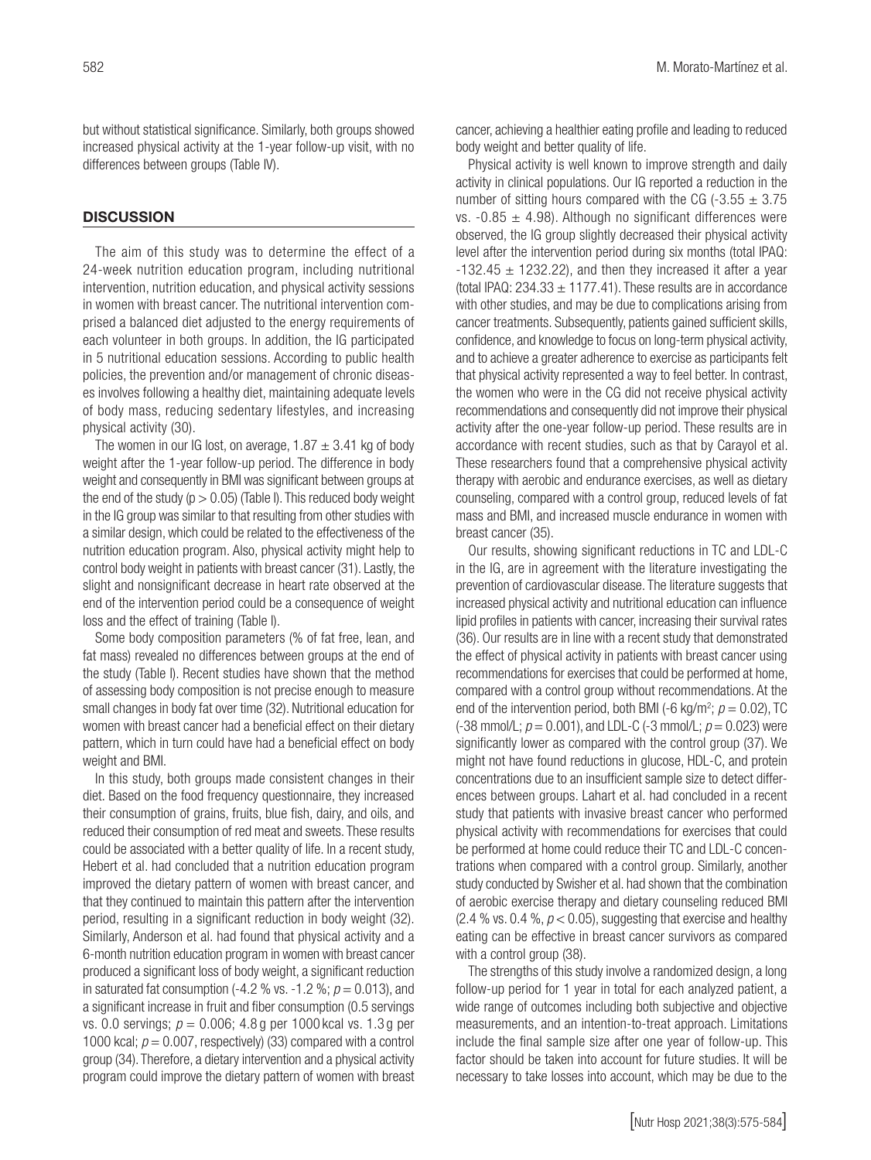but without statistical significance. Similarly, both groups showed increased physical activity at the 1-year follow-up visit, with no differences between groups (Table IV).

#### **DISCUSSION**

The aim of this study was to determine the effect of a 24-week nutrition education program, including nutritional intervention, nutrition education, and physical activity sessions in women with breast cancer. The nutritional intervention comprised a balanced diet adjusted to the energy requirements of each volunteer in both groups. In addition, the IG participated in 5 nutritional education sessions. According to public health policies, the prevention and/or management of chronic diseases involves following a healthy diet, maintaining adequate levels of body mass, reducing sedentary lifestyles, and increasing physical activity (30).

The women in our IG lost, on average,  $1.87 \pm 3.41$  kg of body weight after the 1-year follow-up period. The difference in body weight and consequently in BMI was significant between groups at the end of the study ( $p > 0.05$ ) (Table I). This reduced body weight in the IG group was similar to that resulting from other studies with a similar design, which could be related to the effectiveness of the nutrition education program. Also, physical activity might help to control body weight in patients with breast cancer (31). Lastly, the slight and nonsignificant decrease in heart rate observed at the end of the intervention period could be a consequence of weight loss and the effect of training (Table I).

Some body composition parameters (% of fat free, lean, and fat mass) revealed no differences between groups at the end of the study (Table I). Recent studies have shown that the method of assessing body composition is not precise enough to measure small changes in body fat over time (32). Nutritional education for women with breast cancer had a beneficial effect on their dietary pattern, which in turn could have had a beneficial effect on body weight and BMI.

In this study, both groups made consistent changes in their diet. Based on the food frequency questionnaire, they increased their consumption of grains, fruits, blue fish, dairy, and oils, and reduced their consumption of red meat and sweets. These results could be associated with a better quality of life. In a recent study, Hebert et al. had concluded that a nutrition education program improved the dietary pattern of women with breast cancer, and that they continued to maintain this pattern after the intervention period, resulting in a significant reduction in body weight (32). Similarly, Anderson et al. had found that physical activity and a 6-month nutrition education program in women with breast cancer produced a significant loss of body weight, a significant reduction in saturated fat consumption  $(-4.2 \% \text{ vs. } -1.2 \%; p = 0.013)$ , and a significant increase in fruit and fiber consumption (0.5 servings vs. 0.0 servings; *p* = 0.006; 4.8 g per 1000 kcal vs. 1.3 g per 1000 kcal;  $p = 0.007$ , respectively) (33) compared with a control group (34). Therefore, a dietary intervention and a physical activity program could improve the dietary pattern of women with breast cancer, achieving a healthier eating profile and leading to reduced body weight and better quality of life.

Physical activity is well known to improve strength and daily activity in clinical populations. Our IG reported a reduction in the number of sitting hours compared with the CG (-3.55  $\pm$  3.75 vs.  $-0.85 \pm 4.98$ ). Although no significant differences were observed, the IG group slightly decreased their physical activity level after the intervention period during six months (total IPAQ:  $-132.45 \pm 1232.22$ ), and then they increased it after a year (total IPAQ:  $234.33 \pm 1177.41$ ). These results are in accordance with other studies, and may be due to complications arising from cancer treatments. Subsequently, patients gained sufficient skills, confidence, and knowledge to focus on long-term physical activity, and to achieve a greater adherence to exercise as participants felt that physical activity represented a way to feel better. In contrast, the women who were in the CG did not receive physical activity recommendations and consequently did not improve their physical activity after the one-year follow-up period. These results are in accordance with recent studies, such as that by Carayol et al. These researchers found that a comprehensive physical activity therapy with aerobic and endurance exercises, as well as dietary counseling, compared with a control group, reduced levels of fat mass and BMI, and increased muscle endurance in women with breast cancer (35).

Our results, showing significant reductions in TC and LDL-C in the IG, are in agreement with the literature investigating the prevention of cardiovascular disease. The literature suggests that increased physical activity and nutritional education can influence lipid profiles in patients with cancer, increasing their survival rates (36). Our results are in line with a recent study that demonstrated the effect of physical activity in patients with breast cancer using recommendations for exercises that could be performed at home, compared with a control group without recommendations. At the end of the intervention period, both BMI ( $-6$  kg/m<sup>2</sup>;  $p = 0.02$ ), TC  $(-38 \text{ mmol/L}; p = 0.001)$ , and LDL-C  $(-3 \text{ mmol/L}; p = 0.023)$  were significantly lower as compared with the control group (37). We might not have found reductions in glucose, HDL-C, and protein concentrations due to an insufficient sample size to detect differences between groups. Lahart et al. had concluded in a recent study that patients with invasive breast cancer who performed physical activity with recommendations for exercises that could be performed at home could reduce their TC and LDL-C concentrations when compared with a control group. Similarly, another study conducted by Swisher et al. had shown that the combination of aerobic exercise therapy and dietary counseling reduced BMI  $(2.4 % vs. 0.4 %, p < 0.05)$ , suggesting that exercise and healthy eating can be effective in breast cancer survivors as compared with a control group (38).

The strengths of this study involve a randomized design, a long follow-up period for 1 year in total for each analyzed patient, a wide range of outcomes including both subjective and objective measurements, and an intention-to-treat approach. Limitations include the final sample size after one year of follow-up. This factor should be taken into account for future studies. It will be necessary to take losses into account, which may be due to the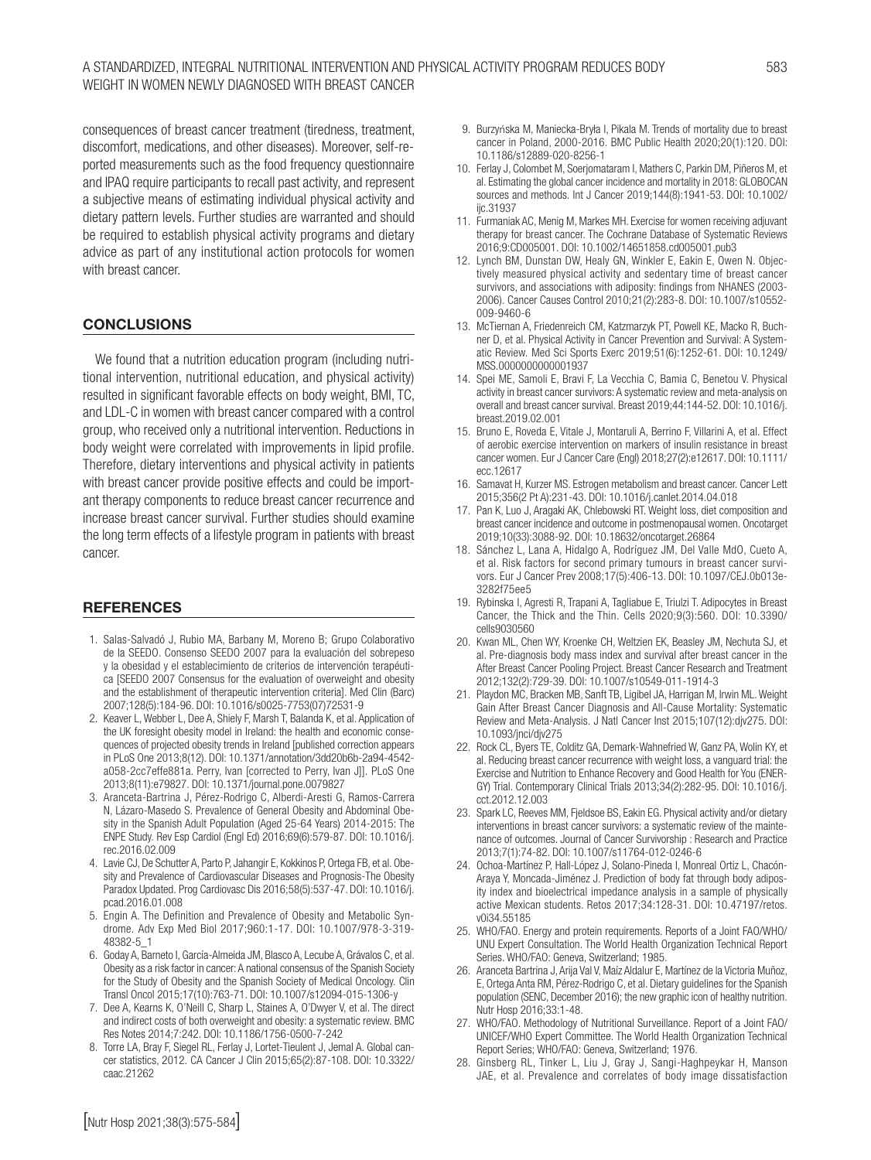consequences of breast cancer treatment (tiredness, treatment, discomfort, medications, and other diseases). Moreover, self-reported measurements such as the food frequency questionnaire and IPAQ require participants to recall past activity, and represent a subjective means of estimating individual physical activity and dietary pattern levels. Further studies are warranted and should be required to establish physical activity programs and dietary advice as part of any institutional action protocols for women with breast cancer.

### **CONCLUSIONS**

We found that a nutrition education program (including nutritional intervention, nutritional education, and physical activity) resulted in significant favorable effects on body weight, BMI, TC, and LDL-C in women with breast cancer compared with a control group, who received only a nutritional intervention. Reductions in body weight were correlated with improvements in lipid profile. Therefore, dietary interventions and physical activity in patients with breast cancer provide positive effects and could be important therapy components to reduce breast cancer recurrence and increase breast cancer survival. Further studies should examine the long term effects of a lifestyle program in patients with breast cancer.

#### **REFERENCES**

- 1. Salas-Salvadó J, Rubio MA, Barbany M, Moreno B; Grupo Colaborativo de la SEEDO. Consenso SEEDO 2007 para la evaluación del sobrepeso y la obesidad y el establecimiento de criterios de intervención terapéutica [SEEDO 2007 Consensus for the evaluation of overweight and obesity and the establishment of therapeutic intervention criteria]. Med Clin (Barc) 2007;128(5):184-96. DOI: 10.1016/s0025-7753(07)72531-9
- 2. Keaver L, Webber L, Dee A, Shiely F, Marsh T, Balanda K, et al. Application of the UK foresight obesity model in Ireland: the health and economic consequences of projected obesity trends in Ireland [published correction appears in PLoS One 2013;8(12). DOI: 10.1371/annotation/3dd20b6b-2a94-4542 a058-2cc7effe881a. Perry, Ivan [corrected to Perry, Ivan J]]. PLoS One 2013;8(11):e79827. DOI: 10.1371/journal.pone.0079827
- 3. Aranceta-Bartrina J, Pérez-Rodrigo C, Alberdi-Aresti G, Ramos-Carrera N, Lázaro-Masedo S. Prevalence of General Obesity and Abdominal Obesity in the Spanish Adult Population (Aged 25-64 Years) 2014-2015: The ENPE Study. Rev Esp Cardiol (Engl Ed) 2016;69(6):579-87. DOI: 10.1016/j. rec.2016.02.009
- 4. Lavie CJ, De Schutter A, Parto P, Jahangir E, Kokkinos P, Ortega FB, et al. Obesity and Prevalence of Cardiovascular Diseases and Prognosis-The Obesity Paradox Updated. Prog Cardiovasc Dis 2016;58(5):537-47. DOI: 10.1016/j. pcad.2016.01.008
- 5. Engin A. The Definition and Prevalence of Obesity and Metabolic Syndrome. Adv Exp Med Biol 2017;960:1-17. DOI: 10.1007/978-3-319- 48382-5\_1
- 6. Goday A, Barneto I, García-Almeida JM, Blasco A, Lecube A, Grávalos C, et al. Obesity as a risk factor in cancer: A national consensus of the Spanish Society for the Study of Obesity and the Spanish Society of Medical Oncology. Clin Transl Oncol 2015;17(10):763-71. DOI: 10.1007/s12094-015-1306-y
- 7. Dee A, Kearns K, O'Neill C, Sharp L, Staines A, O'Dwyer V, et al. The direct and indirect costs of both overweight and obesity: a systematic review. BMC Res Notes 2014;7:242. DOI: 10.1186/1756-0500-7-242
- 8. Torre LA, Bray F, Siegel RL, Ferlay J, Lortet-Tieulent J, Jemal A. Global cancer statistics, 2012. CA Cancer J Clin 2015;65(2):87-108. DOI: 10.3322/ caac.21262
- 9. Burzyńska M, Maniecka-Bryła I, Pikala M. Trends of mortality due to breast cancer in Poland, 2000-2016. BMC Public Health 2020;20(1):120. DOI: 10.1186/s12889-020-8256-1
- 10. Ferlay J, Colombet M, Soerjomataram I, Mathers C, Parkin DM, Piñeros M, et al. Estimating the global cancer incidence and mortality in 2018: GLOBOCAN sources and methods. Int J Cancer 2019;144(8):1941-53. DOI: 10.1002/ iic.31937
- 11. Furmaniak AC, Menig M, Markes MH. Exercise for women receiving adjuvant therapy for breast cancer. The Cochrane Database of Systematic Reviews 2016;9:CD005001. DOI: 10.1002/14651858.cd005001.pub3
- 12. Lynch BM, Dunstan DW, Healy GN, Winkler E, Eakin E, Owen N. Objectively measured physical activity and sedentary time of breast cancer survivors, and associations with adiposity: findings from NHANES (2003- 2006). Cancer Causes Control 2010;21(2):283-8. DOI: 10.1007/s10552- 009-9460-6
- 13. McTiernan A, Friedenreich CM, Katzmarzyk PT, Powell KE, Macko R, Buchner D, et al. Physical Activity in Cancer Prevention and Survival: A Systematic Review. Med Sci Sports Exerc 2019;51(6):1252-61. DOI: 10.1249/ MSS.0000000000001937
- 14. Spei ME, Samoli E, Bravi F, La Vecchia C, Bamia C, Benetou V. Physical activity in breast cancer survivors: A systematic review and meta-analysis on overall and breast cancer survival. Breast 2019;44:144-52. DOI: 10.1016/j. breast.2019.02.001
- 15. Bruno E, Roveda E, Vitale J, Montaruli A, Berrino F, Villarini A, et al. Effect of aerobic exercise intervention on markers of insulin resistance in breast cancer women. Eur J Cancer Care (Engl) 2018;27(2):e12617. DOI: 10.1111/ ecc.12617
- 16. Samavat H, Kurzer MS. Estrogen metabolism and breast cancer. Cancer Lett 2015;356(2 Pt A):231-43. DOI: 10.1016/j.canlet.2014.04.018
- 17. Pan K, Luo J, Aragaki AK, Chlebowski RT. Weight loss, diet composition and breast cancer incidence and outcome in postmenopausal women. Oncotarget 2019;10(33):3088-92. DOI: 10.18632/oncotarget.26864
- 18. Sánchez L, Lana A, Hidalgo A, Rodríguez JM, Del Valle MdO, Cueto A, et al. Risk factors for second primary tumours in breast cancer survivors. Eur J Cancer Prev 2008;17(5):406-13. DOI: 10.1097/CEJ.0b013e-3282f75ee5
- 19. Rybinska I, Agresti R, Trapani A, Tagliabue E, Triulzi T. Adipocytes in Breast Cancer, the Thick and the Thin. Cells 2020;9(3):560. DOI: 10.3390/ cells9030560
- 20. Kwan ML, Chen WY, Kroenke CH, Weltzien EK, Beasley JM, Nechuta SJ, et al. Pre-diagnosis body mass index and survival after breast cancer in the After Breast Cancer Pooling Project. Breast Cancer Research and Treatment 2012;132(2):729-39. DOI: 10.1007/s10549-011-1914-3
- 21. Playdon MC, Bracken MB, Sanft TB, Ligibel JA, Harrigan M, Irwin ML. Weight Gain After Breast Cancer Diagnosis and All-Cause Mortality: Systematic Review and Meta-Analysis. J Natl Cancer Inst 2015;107(12):djv275. DOI: 10.1093/jnci/djv275
- 22. Rock CL, Byers TE, Colditz GA, Demark-Wahnefried W, Ganz PA, Wolin KY, et al. Reducing breast cancer recurrence with weight loss, a vanguard trial: the Exercise and Nutrition to Enhance Recovery and Good Health for You (ENER-GY) Trial. Contemporary Clinical Trials 2013;34(2):282-95. DOI: 10.1016/j. cct.2012.12.003
- 23. Spark LC, Reeves MM, Fjeldsoe BS, Eakin EG. Physical activity and/or dietary interventions in breast cancer survivors: a systematic review of the maintenance of outcomes. Journal of Cancer Survivorship : Research and Practice 2013;7(1):74-82. DOI: 10.1007/s11764-012-0246-6
- 24. Ochoa-Martínez P, Hall-López J, Solano-Pineda I, Monreal Ortiz L, Chacón-Araya Y, Moncada-Jiménez J. Prediction of body fat through body adiposity index and bioelectrical impedance analysis in a sample of physically active Mexican students. Retos 2017;34:128-31. DOI: 10.47197/retos. v0i34.55185
- 25. WHO/FAO. Energy and protein requirements. Reports of a Joint FAO/WHO/ UNU Expert Consultation. The World Health Organization Technical Report Series. WHO/FAO: Geneva, Switzerland; 1985.
- 26. Aranceta Bartrina J, Arija Val V, Maíz Aldalur E, Martínez de la Victoria Muñoz, E, Ortega Anta RM, Pérez-Rodrigo C, et al. Dietary guidelines for the Spanish population (SENC, December 2016); the new graphic icon of healthy nutrition. Nutr Hosp 2016;33:1-48.
- 27. WHO/FAO. Methodology of Nutritional Surveillance. Report of a Joint FAO/ UNICEF/WHO Expert Committee. The World Health Organization Technical Report Series; WHO/FAO: Geneva, Switzerland; 1976.
- 28. Ginsberg RL, Tinker L, Liu J, Gray J, Sangi-Haghpeykar H, Manson JAE, et al. Prevalence and correlates of body image dissatisfaction